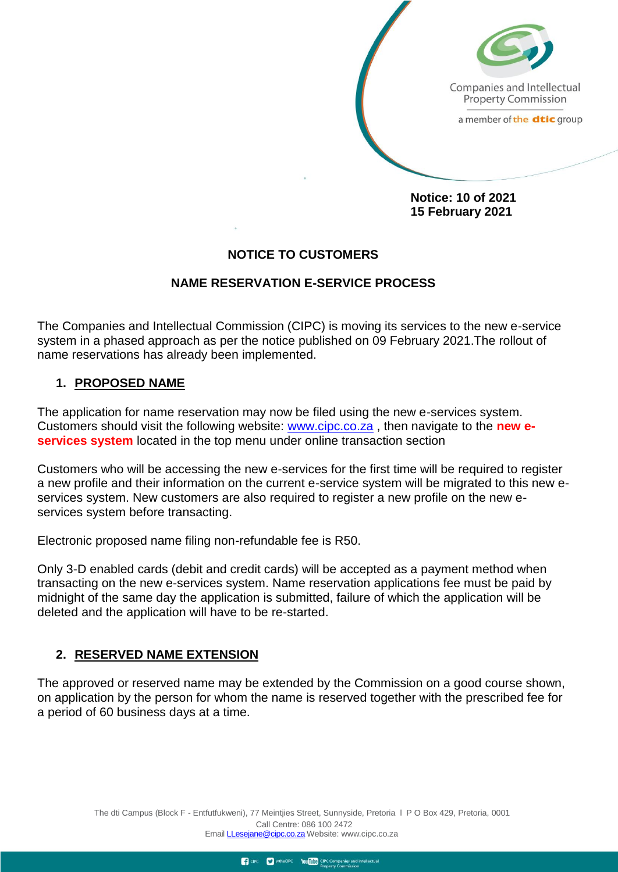

Companies and Intellectual **Property Commission** 

a member of the dtic group

**Notice: 10 of 2021 15 February 2021**

### **NOTICE TO CUSTOMERS**

#### **NAME RESERVATION E-SERVICE PROCESS**

The Companies and Intellectual Commission (CIPC) is moving its services to the new e-service system in a phased approach as per the notice published on 09 February 2021.The rollout of name reservations has already been implemented.

#### **1. PROPOSED NAME**

The application for name reservation may now be filed using the new e-services system. Customers should visit the following website: [www.cipc.co.za](http://www.cipc.co.za/) , then navigate to the **new eservices system** located in the top menu under online transaction section

Customers who will be accessing the new e-services for the first time will be required to register a new profile and their information on the current e-service system will be migrated to this new eservices system. New customers are also required to register a new profile on the new eservices system before transacting.

Electronic proposed name filing non-refundable fee is R50.

Only 3-D enabled cards (debit and credit cards) will be accepted as a payment method when transacting on the new e-services system. Name reservation applications fee must be paid by midnight of the same day the application is submitted, failure of which the application will be deleted and the application will have to be re-started.

#### **2. RESERVED NAME EXTENSION**

The approved or reserved name may be extended by the Commission on a good course shown, on application by the person for whom the name is reserved together with the prescribed fee for a period of 60 business days at a time.